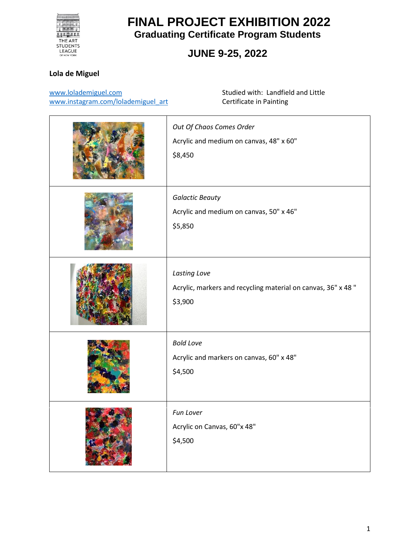

### **JUNE 9-25, 2022**

#### **Lola de Miguel**

[www.lolademiguel.com](http://www.lolademiguel.com/) [www.instagram.com/lolademiguel\\_art](http://www.instagram.com/lolademiguel_art) Studied with: Landfield and Little Certificate in Painting

| Out Of Chaos Comes Order<br>Acrylic and medium on canvas, 48" x 60"<br>\$8,450          |
|-----------------------------------------------------------------------------------------|
| <b>Galactic Beauty</b><br>Acrylic and medium on canvas, 50" x 46"<br>\$5,850            |
| Lasting Love<br>Acrylic, markers and recycling material on canvas, 36" x 48"<br>\$3,900 |
| <b>Bold Love</b><br>Acrylic and markers on canvas, 60" x 48"<br>\$4,500                 |
| Fun Lover<br>Acrylic on Canvas, 60"x 48"<br>\$4,500                                     |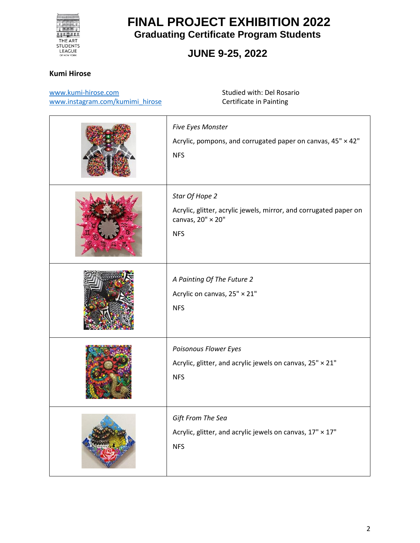

### **JUNE 9-25, 2022**

#### **Kumi Hirose**

[www.kumi-hirose.com](http://www.kumi-hirose.com/) [www.instagram.com/kumimi\\_hirose](http://www.instagram.com/kumimi_hirose) Studied with: Del Rosario Certificate in Painting

| Five Eyes Monster<br>Acrylic, pompons, and corrugated paper on canvas, 45" × 42"<br><b>NFS</b>                         |
|------------------------------------------------------------------------------------------------------------------------|
| Star Of Hope 2<br>Acrylic, glitter, acrylic jewels, mirror, and corrugated paper on<br>canvas, 20" × 20"<br><b>NFS</b> |
| A Painting Of The Future 2<br>Acrylic on canvas, 25" × 21"<br><b>NFS</b>                                               |
| Poisonous Flower Eyes<br>Acrylic, glitter, and acrylic jewels on canvas, 25" × 21"<br><b>NFS</b>                       |
| Gift From The Sea<br>Acrylic, glitter, and acrylic jewels on canvas, 17" × 17"<br><b>NFS</b>                           |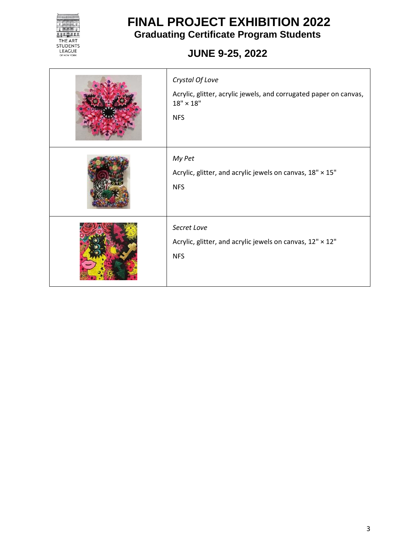

# **JUNE 9-25, 2022**

| Crystal Of Love<br>Acrylic, glitter, acrylic jewels, and corrugated paper on canvas,<br>$18" \times 18"$<br><b>NFS</b> |
|------------------------------------------------------------------------------------------------------------------------|
| My Pet<br>Acrylic, glitter, and acrylic jewels on canvas, 18" × 15"<br><b>NFS</b>                                      |
| Secret Love<br>Acrylic, glitter, and acrylic jewels on canvas, 12" × 12"<br><b>NFS</b>                                 |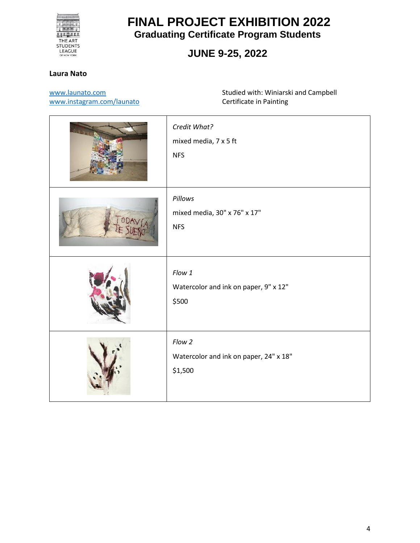

### **JUNE 9-25, 2022**

#### **Laura Nato**

[www.launato.com](http://www.launato.com/)

[www.instagram.com/launato](http://www.instagram.com/launato)

Studied with: Winiarski and Campbell Certificate in Painting

| Credit What?<br>mixed media, 7 x 5 ft<br><b>NFS</b>         |
|-------------------------------------------------------------|
| Pillows<br>mixed media, 30" x 76" x 17"<br><b>NFS</b>       |
| Flow 1<br>Watercolor and ink on paper, 9" x 12"<br>\$500    |
| Flow 2<br>Watercolor and ink on paper, 24" x 18"<br>\$1,500 |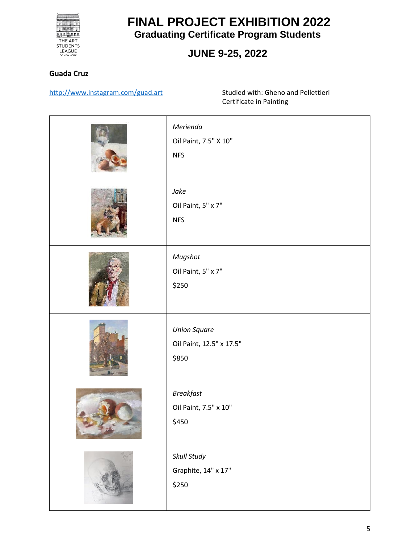

### **JUNE 9-25, 2022**

#### **Guada Cruz**

[http://www.instagram.com/guad.art](http://www.instagram.com/guad.art/) Studied with: Gheno and Pellettieri

Certificate in Painting

| Merienda<br>Oil Paint, 7.5" X 10"<br><b>NFS</b>          |
|----------------------------------------------------------|
| Jake<br>Oil Paint, 5" x 7"<br><b>NFS</b>                 |
| Mugshot<br>Oil Paint, 5" x 7"<br>\$250                   |
| <b>Union Square</b><br>Oil Paint, 12.5" x 17.5"<br>\$850 |
| <b>Breakfast</b><br>Oil Paint, 7.5" x 10"<br>\$450       |
| Skull Study<br>Graphite, 14" x 17"<br>\$250              |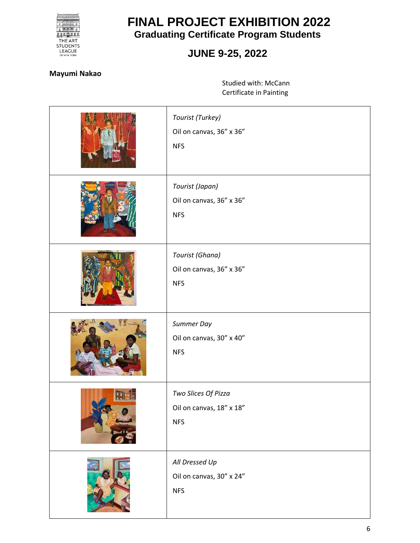

### **JUNE 9-25, 2022**

#### **Mayumi Nakao**

Studied with: McCann Certificate in Painting

| Tourist (Turkey)<br>Oil on canvas, 36" x 36"<br><b>NFS</b>    |
|---------------------------------------------------------------|
| Tourist (Japan)<br>Oil on canvas, 36" x 36"<br><b>NFS</b>     |
| Tourist (Ghana)<br>Oil on canvas, 36" x 36"<br><b>NFS</b>     |
| Summer Day<br>Oil on canvas, 30" x 40"<br><b>NFS</b>          |
| Two Slices Of Pizza<br>Oil on canvas, 18" x 18"<br><b>NFS</b> |
| All Dressed Up<br>Oil on canvas, 30" x 24"<br><b>NFS</b>      |